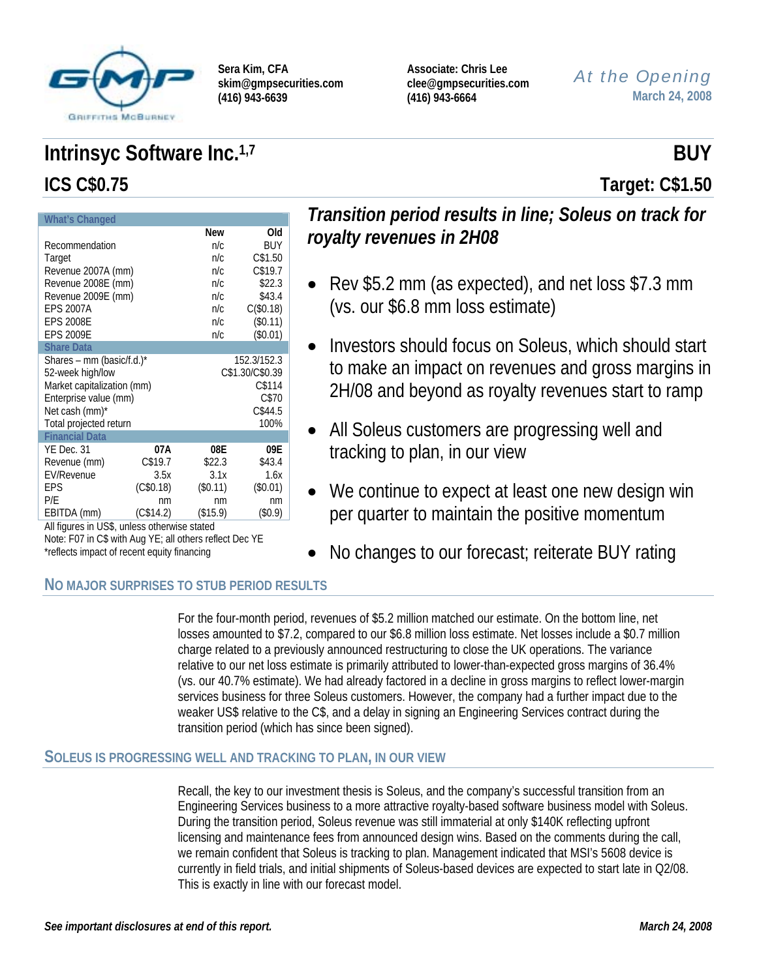

**Sera Kim, CFA skim@gmpsecurities.com (416) 943-6639** 

**Associate: Chris Lee clee@gmpsecurities.com (416) 943-6664** 

*At the Opening* **March 24, 2008**

# **Intrinsyc Software Inc.**<sup>1,7</sup> BUY **ICS C\$0.75 Target: C\$1.50**

| <b>What's Changed</b>                        |           |          |                 |  |
|----------------------------------------------|-----------|----------|-----------------|--|
|                                              |           | New      | Old             |  |
| Recommendation                               |           | n/c      | BUY             |  |
| Target                                       |           | n/c      | C\$1.50         |  |
| Revenue 2007A (mm)                           |           | n/c      | C\$19.7         |  |
| Revenue 2008E (mm)                           |           | n/c      | \$22.3          |  |
| Revenue 2009E (mm)                           |           | n/c      | \$43.4          |  |
| <b>EPS 2007A</b>                             |           | n/c      | C (\$0.18)      |  |
| <b>EPS 2008E</b>                             |           | n/c      | (\$0.11)        |  |
| <b>EPS 2009E</b>                             |           | n/c      | (\$0.01)        |  |
| <b>Share Data</b>                            |           |          |                 |  |
| Shares – mm (basic/f.d.)*                    |           |          | 152.3/152.3     |  |
| 52-week high/low                             |           |          | C\$1.30/C\$0.39 |  |
| Market capitalization (mm)                   |           | C\$114   |                 |  |
| Enterprise value (mm)                        |           | C\$70    |                 |  |
| Net cash (mm)*                               |           |          | C\$44.5         |  |
| Total projected return                       |           |          | 100%            |  |
| <b>Financial Data</b>                        |           |          |                 |  |
| YE Dec. 31                                   | 07A       | 08E      | 09E             |  |
| Revenue (mm)                                 | C\$19.7   | \$22.3   | \$43.4          |  |
| <b>EV/Revenue</b>                            | 3.5x      | 3.1x     | 1.6x            |  |
| EPS                                          | (C\$0.18) | (\$0.11) | $(\$0.01)$      |  |
| P/E                                          | nm        | nm       | nm              |  |
| EBITDA (mm)                                  | (C\$14.2) | (\$15.9) | (\$0.9)         |  |
| All figures in US\$, unless otherwise stated |           |          |                 |  |

## *Transition period results in line; Soleus on track for royalty revenues in 2H08*

- Rev \$5.2 mm (as expected), and net loss \$7.3 mm (vs. our \$6.8 mm loss estimate)
- Investors should focus on Soleus, which should start to make an impact on revenues and gross margins in 2H/08 and beyond as royalty revenues start to ramp
- All Soleus customers are progressing well and tracking to plan, in our view
- We continue to expect at least one new design win per quarter to maintain the positive momentum
- No changes to our forecast; reiterate BUY rating

### **NO MAJOR SURPRISES TO STUB PERIOD RESULTS**

Note: F07 in C\$ with Aug YE; all others reflect Dec YE

\*reflects impact of recent equity financing

For the four-month period, revenues of \$5.2 million matched our estimate. On the bottom line, net losses amounted to \$7.2, compared to our \$6.8 million loss estimate. Net losses include a \$0.7 million charge related to a previously announced restructuring to close the UK operations. The variance relative to our net loss estimate is primarily attributed to lower-than-expected gross margins of 36.4% (vs. our 40.7% estimate). We had already factored in a decline in gross margins to reflect lower-margin services business for three Soleus customers. However, the company had a further impact due to the weaker US\$ relative to the C\$, and a delay in signing an Engineering Services contract during the transition period (which has since been signed).

### **SOLEUS IS PROGRESSING WELL AND TRACKING TO PLAN, IN OUR VIEW**

Recall, the key to our investment thesis is Soleus, and the company's successful transition from an Engineering Services business to a more attractive royalty-based software business model with Soleus. During the transition period, Soleus revenue was still immaterial at only \$140K reflecting upfront licensing and maintenance fees from announced design wins. Based on the comments during the call, we remain confident that Soleus is tracking to plan. Management indicated that MSI's 5608 device is currently in field trials, and initial shipments of Soleus-based devices are expected to start late in Q2/08. This is exactly in line with our forecast model.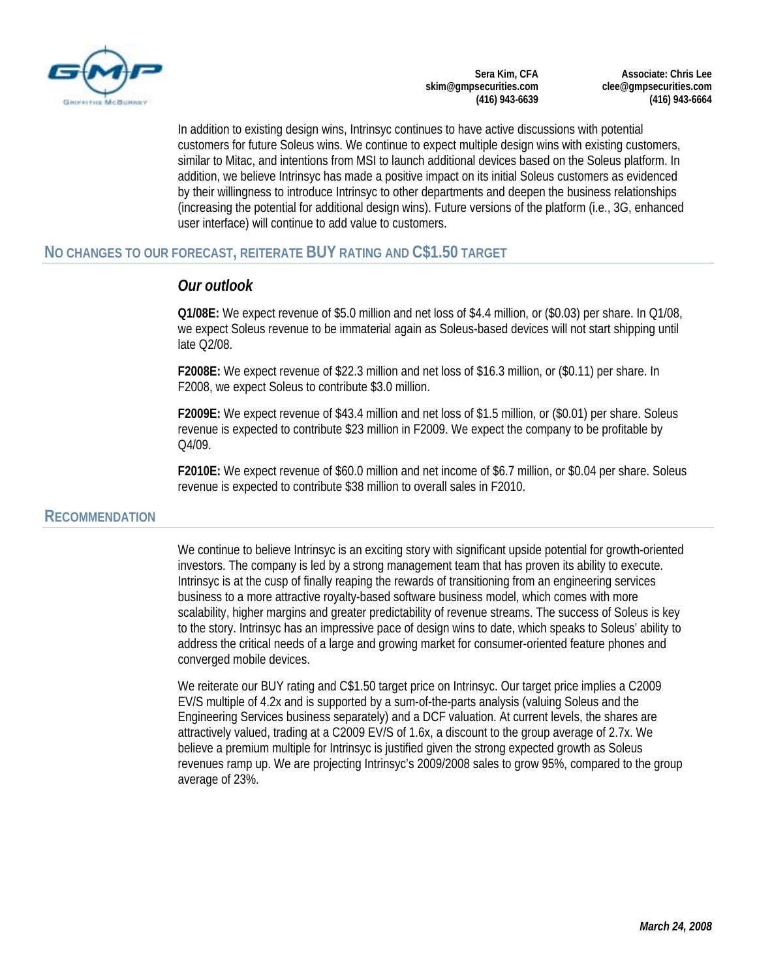

**Sera Kim, CFA skim@gmpsecurities.com (416) 943-6639** 

**Associate: Chris Lee clee@gmpsecurities.com (416) 943-6664** 

In addition to existing design wins, Intrinsyc continues to have active discussions with potential customers for future Soleus wins. We continue to expect multiple design wins with existing customers, similar to Mitac, and intentions from MSI to launch additional devices based on the Soleus platform. In addition, we believe Intrinsyc has made a positive impact on its initial Soleus customers as evidenced by their willingness to introduce Intrinsyc to other departments and deepen the business relationships (increasing the potential for additional design wins). Future versions of the platform (i.e., 3G, enhanced user interface) will continue to add value to customers.

### **NO CHANGES TO OUR FORECAST, REITERATE BUY RATING AND C\$1.50 TARGET**

### *Our outlook*

**Q1/08E:** We expect revenue of \$5.0 million and net loss of \$4.4 million, or (\$0.03) per share. In Q1/08, we expect Soleus revenue to be immaterial again as Soleus-based devices will not start shipping until late Q2/08.

**F2008E:** We expect revenue of \$22.3 million and net loss of \$16.3 million, or (\$0.11) per share. In F2008, we expect Soleus to contribute \$3.0 million.

**F2009E:** We expect revenue of \$43.4 million and net loss of \$1.5 million, or (\$0.01) per share. Soleus revenue is expected to contribute \$23 million in F2009. We expect the company to be profitable by  $O<sub>4</sub>/O<sub>9</sub>$ .

**F2010E:** We expect revenue of \$60.0 million and net income of \$6.7 million, or \$0.04 per share. Soleus revenue is expected to contribute \$38 million to overall sales in F2010.

### **RECOMMENDATION**

We continue to believe Intrinsyc is an exciting story with significant upside potential for growth-oriented investors. The company is led by a strong management team that has proven its ability to execute. Intrinsyc is at the cusp of finally reaping the rewards of transitioning from an engineering services business to a more attractive royalty-based software business model, which comes with more scalability, higher margins and greater predictability of revenue streams. The success of Soleus is key to the story. Intrinsyc has an impressive pace of design wins to date, which speaks to Soleus' ability to address the critical needs of a large and growing market for consumer-oriented feature phones and converged mobile devices.

We reiterate our BUY rating and C\$1.50 target price on Intrinsyc. Our target price implies a C2009 EV/S multiple of 4.2x and is supported by a sum-of-the-parts analysis (valuing Soleus and the Engineering Services business separately) and a DCF valuation. At current levels, the shares are attractively valued, trading at a C2009 EV/S of 1.6x, a discount to the group average of 2.7x. We believe a premium multiple for Intrinsyc is justified given the strong expected growth as Soleus revenues ramp up. We are projecting Intrinsyc's 2009/2008 sales to grow 95%, compared to the group average of 23%.